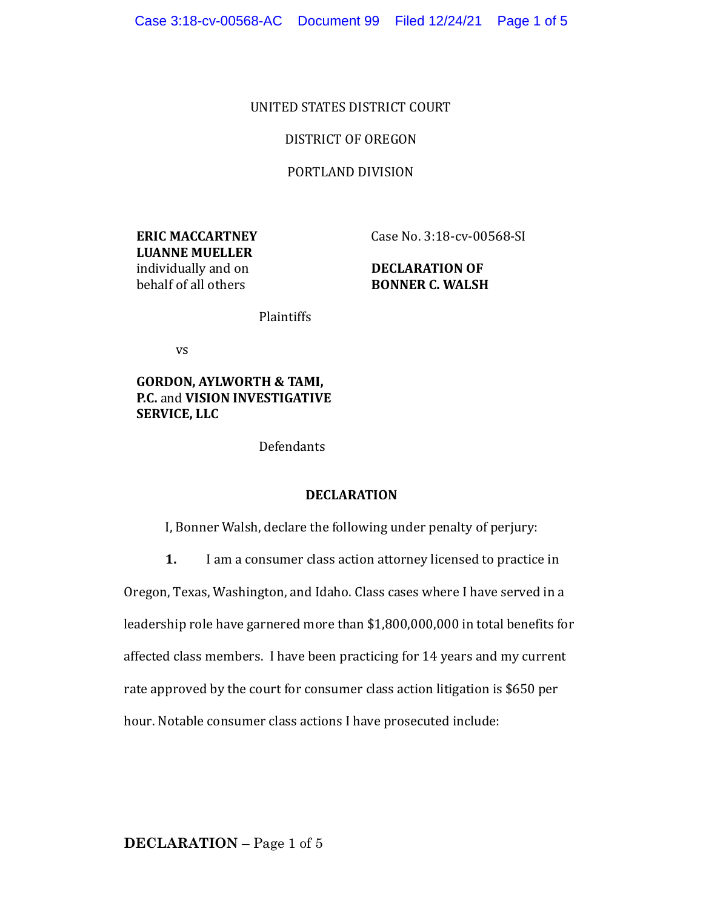### UNITED STATES DISTRICT COURT

## DISTRICT OF OREGON

### PORTLAND DIVISION

**ERIC MACCARTNEY LUANNE MUELLER** individually and on behalf of all others

Case No. 3:18-cv-00568-SI

# **DECLARATION OF BONNER C. WALSH**

Plaintiffs

vs

**GORDON, AYLWORTH & TAMI, P.C.** and **VISION INVESTIGATIVE SERVICE, LLC** 

Defendants

#### **DECLARATION**

I, Bonner Walsh, declare the following under penalty of perjury:

**1.** I am a consumer class action attorney licensed to practice in

Oregon, Texas, Washington, and Idaho. Class cases where I have served in a

leadership role have garnered more than \$1,800,000,000 in total benefits for

affected class members. I have been practicing for 14 years and my current

rate approved by the court for consumer class action litigation is \$650 per

hour. Notable consumer class actions I have prosecuted include: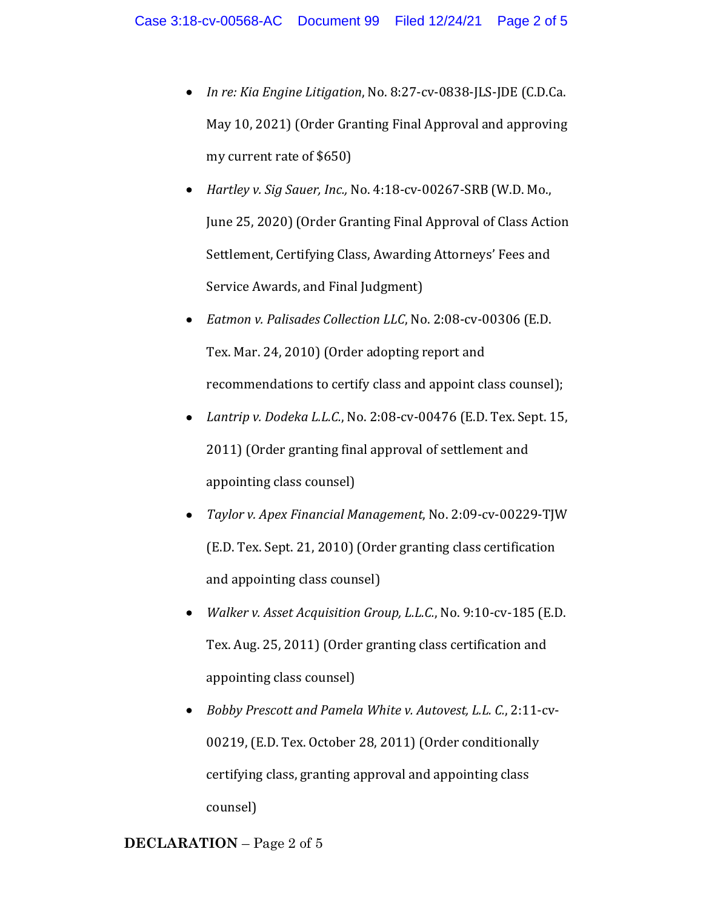- *In re: Kia Engine Litigation, No. 8:27-cv-0838-JLS-JDE* (C.D.Ca. May 10, 2021) (Order Granting Final Approval and approving my current rate of \$650)
- *Hartley v. Sig Sauer, Inc., No.* 4:18-cv-00267-SRB (W.D. Mo., June 25, 2020) (Order Granting Final Approval of Class Action Settlement, Certifying Class, Awarding Attorneys' Fees and Service Awards, and Final Judgment)
- *Eatmon v. Palisades Collection LLC*, No. 2:08-cv-00306 (E.D. Tex. Mar. 24, 2010) (Order adopting report and recommendations to certify class and appoint class counsel);
- *Lantrip v. Dodeka L.L.C.*, No. 2:08-cv-00476 (E.D. Tex. Sept. 15, 2011) (Order granting final approval of settlement and appointing class counsel)
- *Taylor v. Apex Financial Management*, No. 2:09-cv-00229-TJW (E.D. Tex. Sept. 21, 2010) (Order granting class certification and appointing class counsel)
- *Walker v. Asset Acquisition Group, L.L.C.*, No. 9:10-cv-185 (E.D. Tex. Aug. 25, 2011) (Order granting class certification and appointing class counsel)
- Bobby Prescott and Pamela White v. Autovest, L.L. C., 2:11-cv-00219, (E.D. Tex. October 28, 2011) (Order conditionally certifying class, granting approval and appointing class counsel)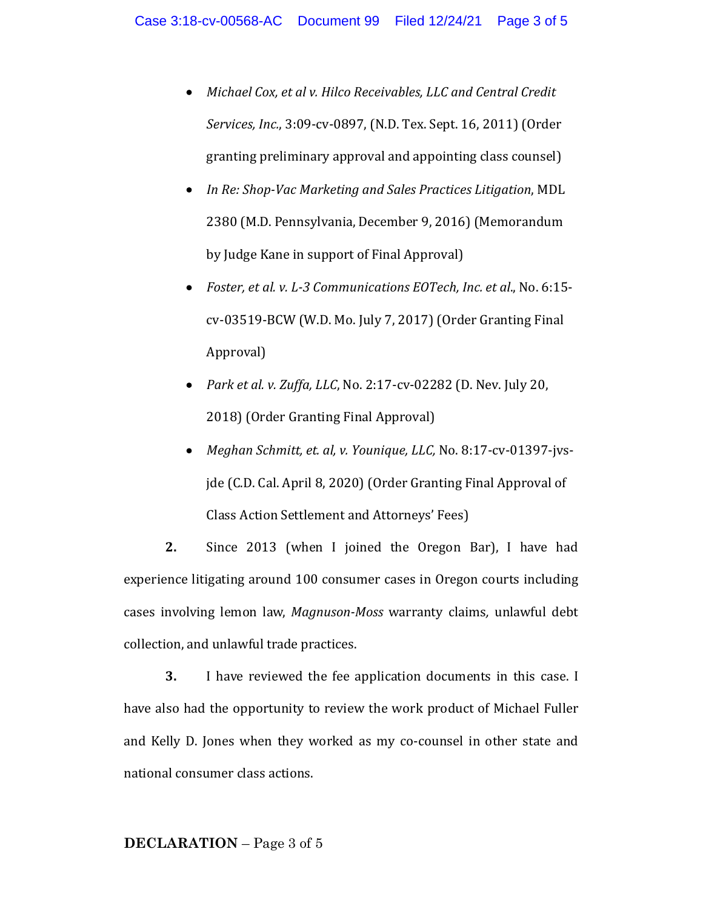- *Michael Cox, et al v. Hilco Receivables, LLC and Central Credit Services, Inc.*, 3:09-cv-0897, (N.D. Tex. Sept. 16, 2011) (Order granting preliminary approval and appointing class counsel)
- *In Re: Shop-Vac Marketing and Sales Practices Litigation*, MDL 2380 (M.D. Pennsylvania, December 9, 2016) (Memorandum by Judge Kane in support of Final Approval)
- *Foster, et al. v. L-3 Communications EOTech, Inc. et al., No. 6:15*cv-03519-BCW (W.D. Mo. July 7, 2017) (Order Granting Final Approval)
- *Park et al. v. Zuffa, LLC, No.* 2:17-cv-02282 (D. Nev. July 20, 2018) (Order Granting Final Approval)
- *Meghan Schmitt, et. al, v. Younique, LLC, No. 8:17-cv-01397-jvs*jde (C.D. Cal. April 8, 2020) (Order Granting Final Approval of Class Action Settlement and Attorneys' Fees)

**2.** Since 2013 (when I joined the Oregon Bar), I have had experience litigating around 100 consumer cases in Oregon courts including cases involving lemon law, *Magnuson-Moss* warranty claims, unlawful debt collection, and unlawful trade practices.

**3.** I have reviewed the fee application documents in this case. I have also had the opportunity to review the work product of Michael Fuller and Kelly D. Jones when they worked as my co-counsel in other state and national consumer class actions.

#### **DECLARATION** – Page 3 of 5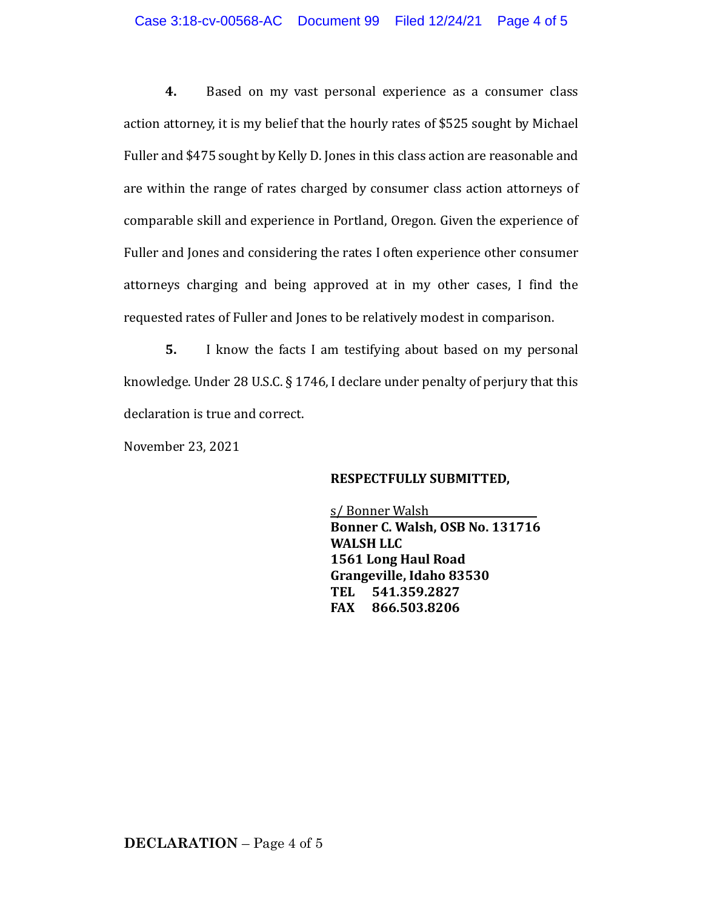**4.** Based on my vast personal experience as a consumer class action attorney, it is my belief that the hourly rates of \$525 sought by Michael Fuller and \$475 sought by Kelly D. Jones in this class action are reasonable and are within the range of rates charged by consumer class action attorneys of comparable skill and experience in Portland, Oregon. Given the experience of Fuller and Jones and considering the rates I often experience other consumer attorneys charging and being approved at in my other cases, I find the requested rates of Fuller and Jones to be relatively modest in comparison.

**5.** I know the facts I am testifying about based on my personal knowledge. Under 28 U.S.C.  $\S 1746$ , I declare under penalty of perjury that this declaration is true and correct.

November 23, 2021

## **RESPECTFULLY SUBMITTED,**

s/Bonner Walsh **Bonner C. Walsh, OSB No. 131716 WALSH LLC 1561 Long Haul Road** Grangeville, Idaho 83530 **TEL 541.359.2827 FAX 866.503.8206**

**DECLARATION** – Page 4 of 5